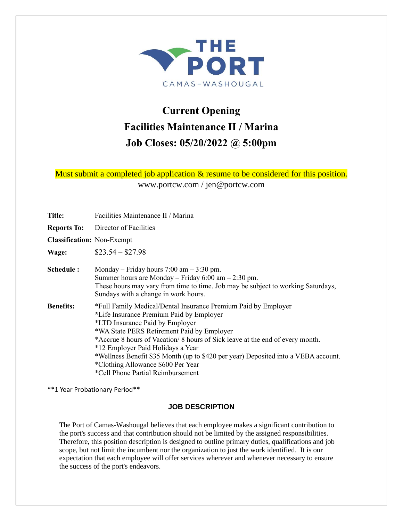

# **Current Opening Facilities Maintenance II / Marina Job Closes: 05/20/2022 @ 5:00pm**

Must submit a completed job application & resume to be considered for this position.

www.portcw.com / jen@portcw.com

**Title:** Facilities Maintenance II / Marina **Reports To:** Director of Facilities **Classification:** Non-Exempt **Wage:** \$23.54 – \$27.98 **Schedule :** Monday – Friday hours 7:00 am – 3:30 pm. Summer hours are Monday – Friday  $6:00 \text{ am} - 2:30 \text{ pm}$ . These hours may vary from time to time. Job may be subject to working Saturdays, Sundays with a change in work hours. **Benefits:** \*Full Family Medical/Dental Insurance Premium Paid by Employer **\***Life Insurance Premium Paid by Employer \*LTD Insurance Paid by Employer \*WA State PERS Retirement Paid by Employer \*Accrue 8 hours of Vacation/ 8 hours of Sick leave at the end of every month. \*12 Employer Paid Holidays a Year \*Wellness Benefit \$35 Month (up to \$420 per year) Deposited into a VEBA account. \*Clothing Allowance \$600 Per Year \*Cell Phone Partial Reimbursement

\*\*1 Year Probationary Period\*\*

#### **JOB DESCRIPTION**

The Port of Camas-Washougal believes that each employee makes a significant contribution to the port's success and that contribution should not be limited by the assigned responsibilities. Therefore, this position description is designed to outline primary duties, qualifications and job scope, but not limit the incumbent nor the organization to just the work identified. It is our expectation that each employee will offer services wherever and whenever necessary to ensure the success of the port's endeavors.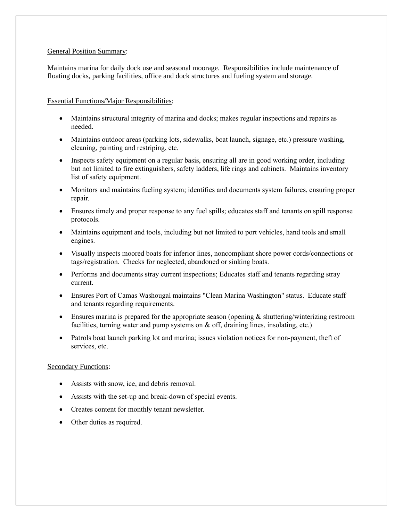#### General Position Summary:

Maintains marina for daily dock use and seasonal moorage. Responsibilities include maintenance of floating docks, parking facilities, office and dock structures and fueling system and storage.

#### Essential Functions/Major Responsibilities:

- Maintains structural integrity of marina and docks; makes regular inspections and repairs as needed.
- Maintains outdoor areas (parking lots, sidewalks, boat launch, signage, etc.) pressure washing, cleaning, painting and restriping, etc.
- Inspects safety equipment on a regular basis, ensuring all are in good working order, including but not limited to fire extinguishers, safety ladders, life rings and cabinets. Maintains inventory list of safety equipment.
- Monitors and maintains fueling system; identifies and documents system failures, ensuring proper repair.
- Ensures timely and proper response to any fuel spills; educates staff and tenants on spill response protocols.
- Maintains equipment and tools, including but not limited to port vehicles, hand tools and small engines.
- Visually inspects moored boats for inferior lines, noncompliant shore power cords/connections or tags/registration. Checks for neglected, abandoned or sinking boats.
- Performs and documents stray current inspections; Educates staff and tenants regarding stray current.
- Ensures Port of Camas Washougal maintains "Clean Marina Washington" status. Educate staff and tenants regarding requirements.
- Ensures marina is prepared for the appropriate season (opening  $\&$  shuttering/winterizing restroom facilities, turning water and pump systems on & off, draining lines, insolating, etc.)
- Patrols boat launch parking lot and marina; issues violation notices for non-payment, theft of services, etc.

#### Secondary Functions:

- Assists with snow, ice, and debris removal.
- Assists with the set-up and break-down of special events.
- Creates content for monthly tenant newsletter.
- Other duties as required.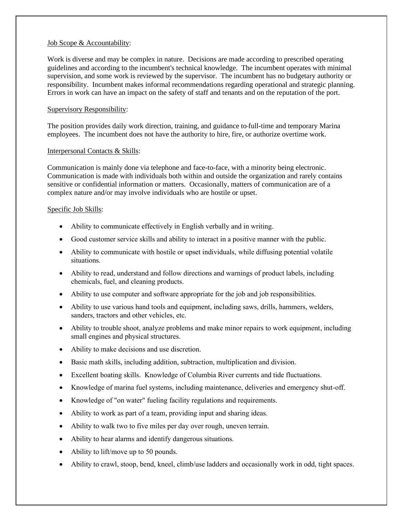#### Job Scope & Accountability:

Work is diverse and may be complex in nature. Decisions are made according to prescribed operating guidelines and according to the incumbent's technical knowledge. The incumbent operates with minimal supervision, and some work is reviewed by the supervisor. The incumbent has no budgetary authority or responsibility. Incumbent makes informal recommendations regarding operational and strategic planning. Errors in work can have an impact on the safety of staff and tenants and on the reputation of the port.

#### Supervisory Responsibility:

The position provides daily work direction, training, and guidance to full-time and temporary Marina employees. The incumbent does not have the authority to hire, fire, or authorize overtime work.

#### Interpersonal Contacts & Skills:

Communication is mainly done via telephone and face-to-face, with a minority being electronic. Communication is made with individuals both within and outside the organization and rarely contains sensitive or confidential information or matters. Occasionally, matters of communication are of a complex nature and/or may involve individuals who are hostile or upset.

#### Specific Job Skills:

- Ability to communicate effectively in English verbally and in writing.
- Good customer service skills and ability to interact in a positive manner with the public.
- Ability to communicate with hostile or upset individuals, while diffusing potential volatile situations.
- Ability to read, understand and follow directions and warnings of product labels, including chemicals, fuel, and cleaning products.
- Ability to use computer and software appropriate for the job and job responsibilities.
- Ability to use various hand tools and equipment, including saws, drills, hammers, welders, sanders, tractors and other vehicles, etc.
- Ability to trouble shoot, analyze problems and make minor repairs to work equipment, including small engines and physical structures.
- Ability to make decisions and use discretion.
- Basic math skills, including addition, subtraction, multiplication and division.
- Excellent boating skills. Knowledge of Columbia River currents and tide fluctuations.
- Knowledge of marina fuel systems, including maintenance, deliveries and emergency shut-off.
- Knowledge of "on water" fueling facility regulations and requirements.
- Ability to work as part of a team, providing input and sharing ideas.
- Ability to walk two to five miles per day over rough, uneven terrain.
- Ability to hear alarms and identify dangerous situations.
- Ability to lift/move up to 50 pounds.
- Ability to crawl, stoop, bend, kneel, climb/use ladders and occasionally work in odd, tight spaces.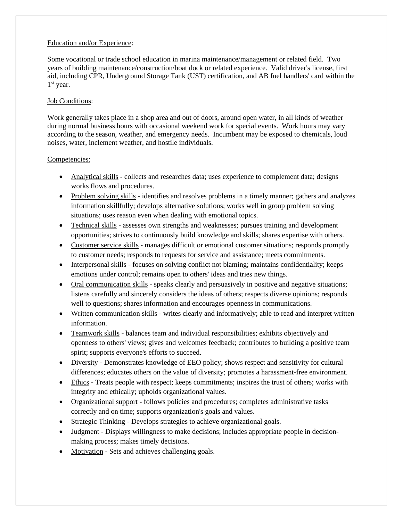## Education and/or Experience:

Some vocational or trade school education in marina maintenance/management or related field. Two years of building maintenance/construction/boat dock or related experience. Valid driver's license, first aid, including CPR, Underground Storage Tank (UST) certification, and AB fuel handlers' card within the 1<sup>st</sup> year.

# Job Conditions:

Work generally takes place in a shop area and out of doors, around open water, in all kinds of weather during normal business hours with occasional weekend work for special events. Work hours may vary according to the season, weather, and emergency needs. Incumbent may be exposed to chemicals, loud noises, water, inclement weather, and hostile individuals.

## Competencies:

- Analytical skills collects and researches data; uses experience to complement data; designs works flows and procedures.
- Problem solving skills identifies and resolves problems in a timely manner; gathers and analyzes information skillfully; develops alternative solutions; works well in group problem solving situations; uses reason even when dealing with emotional topics.
- Technical skills assesses own strengths and weaknesses; pursues training and development opportunities; strives to continuously build knowledge and skills; shares expertise with others.
- Customer service skills manages difficult or emotional customer situations; responds promptly to customer needs; responds to requests for service and assistance; meets commitments.
- Interpersonal skills focuses on solving conflict not blaming; maintains confidentiality; keeps emotions under control; remains open to others' ideas and tries new things.
- Oral communication skills speaks clearly and persuasively in positive and negative situations; listens carefully and sincerely considers the ideas of others; respects diverse opinions; responds well to questions; shares information and encourages openness in communications.
- Written communication skills writes clearly and informatively; able to read and interpret written information.
- Teamwork skills balances team and individual responsibilities; exhibits objectively and openness to others' views; gives and welcomes feedback; contributes to building a positive team spirit; supports everyone's efforts to succeed.
- Diversity Demonstrates knowledge of EEO policy; shows respect and sensitivity for cultural differences; educates others on the value of diversity; promotes a harassment-free environment.
- Ethics Treats people with respect; keeps commitments; inspires the trust of others; works with integrity and ethically; upholds organizational values.
- Organizational support follows policies and procedures; completes administrative tasks correctly and on time; supports organization's goals and values.
- Strategic Thinking Develops strategies to achieve organizational goals.
- Judgment Displays willingness to make decisions; includes appropriate people in decisionmaking process; makes timely decisions.
- Motivation Sets and achieves challenging goals.